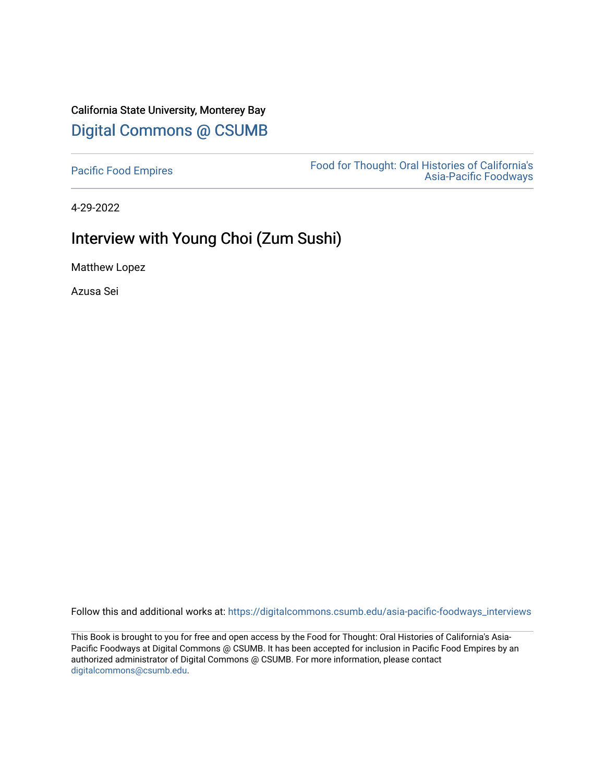## California State University, Monterey Bay [Digital Commons @ CSUMB](https://digitalcommons.csumb.edu/)

[Pacific Food Empires](https://digitalcommons.csumb.edu/asia-pacific-foodways_interviews) Food for Thought: Oral Histories of California's [Asia-Pacific Foodways](https://digitalcommons.csumb.edu/asia-pacific-foodways) 

4-29-2022

## Interview with Young Choi (Zum Sushi)

Matthew Lopez

Azusa Sei

Follow this and additional works at: [https://digitalcommons.csumb.edu/asia-pacific-foodways\\_interviews](https://digitalcommons.csumb.edu/asia-pacific-foodways_interviews?utm_source=digitalcommons.csumb.edu%2Fasia-pacific-foodways_interviews%2F13&utm_medium=PDF&utm_campaign=PDFCoverPages) 

This Book is brought to you for free and open access by the Food for Thought: Oral Histories of California's Asia-Pacific Foodways at Digital Commons @ CSUMB. It has been accepted for inclusion in Pacific Food Empires by an authorized administrator of Digital Commons @ CSUMB. For more information, please contact [digitalcommons@csumb.edu](mailto:digitalcommons@csumb.edu).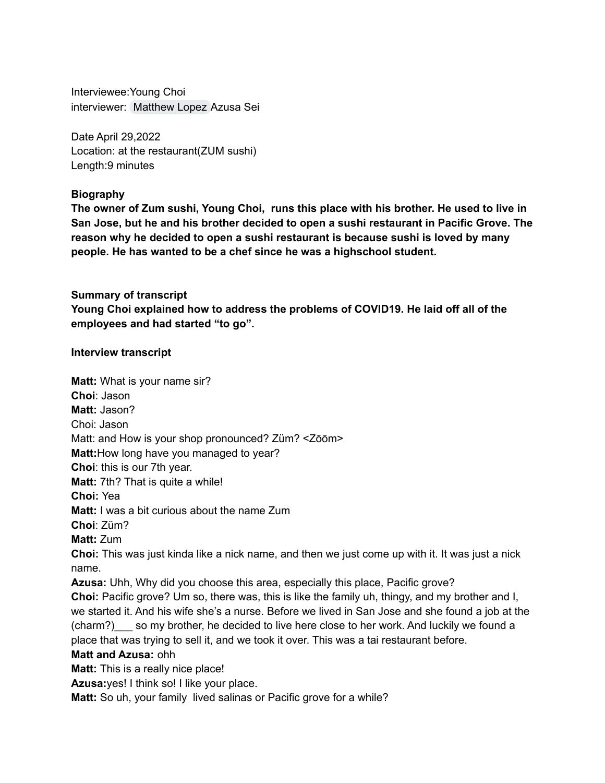Interviewee:Young Choi interviewer: [Matthew](mailto:mattlopez@csumb.edu) Lopez Azusa Sei

Date April 29,2022 Location: at the restaurant(ZUM sushi) Length:9 minutes

## **Biography**

**The owner of Zum sushi, Young Choi, runs this place with his brother. He used to live in San Jose, but he and his brother decided to open a sushi restaurant in Pacific Grove. The reason why he decided to open a sushi restaurant is because sushi is loved by many people. He has wanted to be a chef since he was a highschool student.**

**Summary of transcript Young Choi explained how to address the problems of COVID19. He laid off all of the employees and had started "to go".**

## **Interview transcript**

**Matt:** What is your name sir? **Choi**: Jason **Matt:** Jason? Choi: Jason Matt: and How is your shop pronounced? Züm? <Zōōm> **Matt:**How long have you managed to year? **Choi**: this is our 7th year. **Matt:** 7th? That is quite a while! **Choi:** Yea **Matt:** I was a bit curious about the name Zum **Choi**: Züm? **Matt:** Zum **Choi:** This was just kinda like a nick name, and then we just come up with it. It was just a nick name. **Azusa:** Uhh, Why did you choose this area, especially this place, Pacific grove? **Choi:** Pacific grove? Um so, there was, this is like the family uh, thingy, and my brother and I, we started it. And his wife she's a nurse. Before we lived in San Jose and she found a job at the (charm?) so my brother, he decided to live here close to her work. And luckily we found a place that was trying to sell it, and we took it over. This was a tai restaurant before. **Matt and Azusa:** ohh **Matt:** This is a really nice place! **Azusa:**yes! I think so! I like your place.

**Matt:** So uh, your family lived salinas or Pacific grove for a while?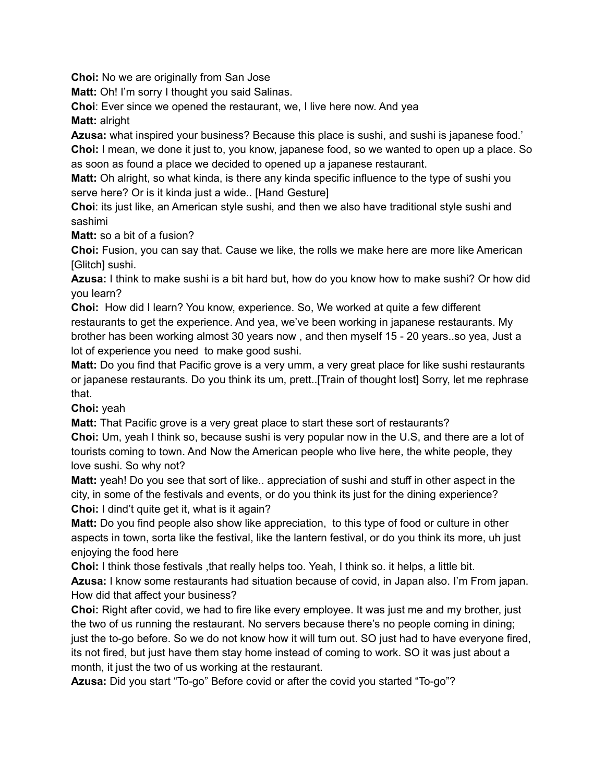**Choi:** No we are originally from San Jose

**Matt:** Oh! I'm sorry I thought you said Salinas.

**Choi**: Ever since we opened the restaurant, we, I live here now. And yea

**Matt:** alright

**Azusa:** what inspired your business? Because this place is sushi, and sushi is japanese food.'

**Choi:** I mean, we done it just to, you know, japanese food, so we wanted to open up a place. So as soon as found a place we decided to opened up a japanese restaurant.

**Matt:** Oh alright, so what kinda, is there any kinda specific influence to the type of sushi you serve here? Or is it kinda just a wide.. [Hand Gesture]

**Choi**: its just like, an American style sushi, and then we also have traditional style sushi and sashimi

**Matt:** so a bit of a fusion?

**Choi:** Fusion, you can say that. Cause we like, the rolls we make here are more like American [Glitch] sushi.

**Azusa:** I think to make sushi is a bit hard but, how do you know how to make sushi? Or how did you learn?

**Choi:** How did I learn? You know, experience. So, We worked at quite a few different restaurants to get the experience. And yea, we've been working in japanese restaurants. My brother has been working almost 30 years now , and then myself 15 - 20 years..so yea, Just a lot of experience you need to make good sushi.

**Matt:** Do you find that Pacific grove is a very umm, a very great place for like sushi restaurants or japanese restaurants. Do you think its um, prett..[Train of thought lost] Sorry, let me rephrase that.

**Choi:** yeah

**Matt:** That Pacific grove is a very great place to start these sort of restaurants?

**Choi:** Um, yeah I think so, because sushi is very popular now in the U.S, and there are a lot of tourists coming to town. And Now the American people who live here, the white people, they love sushi. So why not?

**Matt:** yeah! Do you see that sort of like.. appreciation of sushi and stuff in other aspect in the city, in some of the festivals and events, or do you think its just for the dining experience? **Choi:** I dind't quite get it, what is it again?

**Matt:** Do you find people also show like appreciation, to this type of food or culture in other aspects in town, sorta like the festival, like the lantern festival, or do you think its more, uh just enjoying the food here

**Choi:** I think those festivals ,that really helps too. Yeah, I think so. it helps, a little bit.

**Azusa:** I know some restaurants had situation because of covid, in Japan also. I'm From japan. How did that affect your business?

**Choi:** Right after covid, we had to fire like every employee. It was just me and my brother, just the two of us running the restaurant. No servers because there's no people coming in dining; just the to-go before. So we do not know how it will turn out. SO just had to have everyone fired, its not fired, but just have them stay home instead of coming to work. SO it was just about a month, it just the two of us working at the restaurant.

**Azusa:** Did you start "To-go" Before covid or after the covid you started "To-go"?